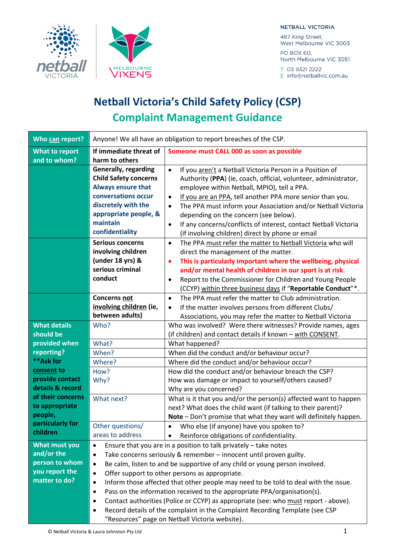



### **NETBALL VICTORIA**

487 King Street, West Melbourne VIC 3003 PO BOX 60,

North Melbourne VIC 3051

T 03 9321 2222 E info@netballvic.com.au

# **Netball Victoria's Child Safety Policy (CSP) Complaint Management Guidance**

| Who can report?                       | Anyone! We all have an obligation to report breaches of the CSP.                                                                                                                               |                                                                                                                                                                                                                                                                                                                                                                                                                                                                                                                     |
|---------------------------------------|------------------------------------------------------------------------------------------------------------------------------------------------------------------------------------------------|---------------------------------------------------------------------------------------------------------------------------------------------------------------------------------------------------------------------------------------------------------------------------------------------------------------------------------------------------------------------------------------------------------------------------------------------------------------------------------------------------------------------|
| <b>What to report</b><br>and to whom? | If immediate threat of<br>harm to others                                                                                                                                                       | Someone must CALL 000 as soon as possible                                                                                                                                                                                                                                                                                                                                                                                                                                                                           |
|                                       | <b>Generally, regarding</b><br><b>Child Safety concerns</b><br><b>Always ensure that</b><br>conversations occur<br>discretely with the<br>appropriate people, &<br>maintain<br>confidentiality | If you aren't a Netball Victoria Person in a Position of<br>$\bullet$<br>Authority (PPA) (ie, coach, official, volunteer, administrator,<br>employee within Netball, MPIO), tell a PPA.<br>If you are an PPA, tell another PPA more senior than you.<br>٠<br>The PPA must inform your Association and/or Netball Victoria<br>$\bullet$<br>depending on the concern (see below).<br>If any concerns/conflicts of interest, contact Netball Victoria<br>$\bullet$<br>(if involving children) direct by phone or email |
|                                       | <b>Serious concerns</b><br>involving children<br>(under 18 yrs) &<br>serious criminal<br>conduct                                                                                               | The PPA must refer the matter to Netball Victoria who will<br>$\bullet$<br>direct the management of the matter.<br>This is particularly important where the wellbeing, physical<br>٠<br>and/or mental health of children in our sport is at risk.<br>Report to the Commissioner for Children and Young People<br>$\bullet$<br>(CCYP) within three business days if "Reportable Conduct"*.                                                                                                                           |
|                                       | <b>Concerns not</b><br>involving children (ie,<br>between adults)                                                                                                                              | The PPA must refer the matter to Club administration.<br>$\bullet$<br>If the matter involves persons from different Clubs/<br>$\bullet$<br>Associations, you may refer the matter to Netball Victoria                                                                                                                                                                                                                                                                                                               |
| <b>What details</b><br>should be      | Who?                                                                                                                                                                                           | Who was involved? Were there witnesses? Provide names, ages<br>(if children) and contact details if known - with CONSENT.                                                                                                                                                                                                                                                                                                                                                                                           |
| provided when                         | What?                                                                                                                                                                                          | What happened?                                                                                                                                                                                                                                                                                                                                                                                                                                                                                                      |
| reporting?                            | When?                                                                                                                                                                                          | When did the conduct and/or behaviour occur?                                                                                                                                                                                                                                                                                                                                                                                                                                                                        |
| **Ask for                             | Where?                                                                                                                                                                                         | Where did the conduct and/or behaviour occur?                                                                                                                                                                                                                                                                                                                                                                                                                                                                       |
| consent to                            | How?                                                                                                                                                                                           | How did the conduct and/or behaviour breach the CSP?                                                                                                                                                                                                                                                                                                                                                                                                                                                                |
| provide contact                       | Why?                                                                                                                                                                                           | How was damage or impact to yourself/others caused?                                                                                                                                                                                                                                                                                                                                                                                                                                                                 |
| details & record                      |                                                                                                                                                                                                | Why are you concerned?                                                                                                                                                                                                                                                                                                                                                                                                                                                                                              |
| of their concerns                     | What next?                                                                                                                                                                                     | What is it that you and/or the person(s) affected want to happen                                                                                                                                                                                                                                                                                                                                                                                                                                                    |
| to appropriate                        |                                                                                                                                                                                                | next? What does the child want (if talking to their parent)?                                                                                                                                                                                                                                                                                                                                                                                                                                                        |
| people,                               |                                                                                                                                                                                                | Note - Don't promise that what they want will definitely happen.                                                                                                                                                                                                                                                                                                                                                                                                                                                    |
| particularly for                      | Other questions/                                                                                                                                                                               | Who else (if anyone) have you spoken to?<br>$\bullet$                                                                                                                                                                                                                                                                                                                                                                                                                                                               |
| children                              | areas to address                                                                                                                                                                               | Reinforce obligations of confidentiality.                                                                                                                                                                                                                                                                                                                                                                                                                                                                           |
| What must you                         | Ensure that you are in a position to talk privately - take notes<br>$\bullet$                                                                                                                  |                                                                                                                                                                                                                                                                                                                                                                                                                                                                                                                     |
| and/or the                            | Take concerns seriously & remember - innocent until proven guilty.<br>$\bullet$                                                                                                                |                                                                                                                                                                                                                                                                                                                                                                                                                                                                                                                     |
| person to whom                        | Be calm, listen to and be supportive of any child or young person involved.<br>$\bullet$                                                                                                       |                                                                                                                                                                                                                                                                                                                                                                                                                                                                                                                     |
| you report the                        | Offer support to other persons as appropriate.<br>$\bullet$                                                                                                                                    |                                                                                                                                                                                                                                                                                                                                                                                                                                                                                                                     |
| matter to do?                         | Inform those affected that other people may need to be told to deal with the issue.<br>$\bullet$                                                                                               |                                                                                                                                                                                                                                                                                                                                                                                                                                                                                                                     |
|                                       | Pass on the information received to the appropriate PPA/organisation(s).<br>$\bullet$                                                                                                          |                                                                                                                                                                                                                                                                                                                                                                                                                                                                                                                     |
|                                       | $\bullet$                                                                                                                                                                                      | Contact authorities (Police or CCYP) as appropriate (see: who must report - above).                                                                                                                                                                                                                                                                                                                                                                                                                                 |
|                                       | $\bullet$                                                                                                                                                                                      | Record details of the complaint in the Complaint Recording Template (see CSP                                                                                                                                                                                                                                                                                                                                                                                                                                        |
|                                       |                                                                                                                                                                                                | "Resources" page on Netball Victoria website).                                                                                                                                                                                                                                                                                                                                                                                                                                                                      |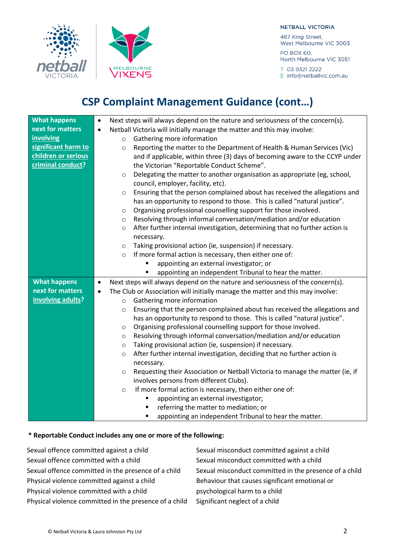### **NETBALL VICTORIA**

487 King Street, West Melbourne VIC 3003 PO BOX 60,

North Melbourne VIC 3051

T 03 9321 2222 E info@netballvic.com.au



MELBOURNE

**VICTORIA** 

| <b>What happens</b> | Next steps will always depend on the nature and seriousness of the concern(s).                  |  |
|---------------------|-------------------------------------------------------------------------------------------------|--|
| next for matters    | Netball Victoria will initially manage the matter and this may involve:                         |  |
| involving           | Gathering more information<br>$\circ$                                                           |  |
| significant harm to | Reporting the matter to the Department of Health & Human Services (Vic)<br>$\circ$              |  |
| children or serious | and if applicable, within three (3) days of becoming aware to the CCYP under                    |  |
| criminal conduct?   | the Victorian "Reportable Conduct Scheme".                                                      |  |
|                     | Delegating the matter to another organisation as appropriate (eg, school,<br>$\circ$            |  |
|                     | council, employer, facility, etc).                                                              |  |
|                     | Ensuring that the person complained about has received the allegations and<br>$\circ$           |  |
|                     | has an opportunity to respond to those. This is called "natural justice".                       |  |
|                     | Organising professional counselling support for those involved.<br>$\circ$                      |  |
|                     | Resolving through informal conversation/mediation and/or education<br>O                         |  |
|                     | After further internal investigation, determining that no further action is<br>$\circ$          |  |
|                     | necessary.                                                                                      |  |
|                     | Taking provisional action (ie, suspension) if necessary.<br>$\circ$                             |  |
|                     | If more formal action is necessary, then either one of:<br>$\circ$                              |  |
|                     | appointing an external investigator; or                                                         |  |
|                     | appointing an independent Tribunal to hear the matter.<br>٠                                     |  |
| <b>What happens</b> | Next steps will always depend on the nature and seriousness of the concern(s).<br>$\bullet$     |  |
| next for matters    | The Club or Association will initially manage the matter and this may involve:<br>$\bullet$     |  |
|                     |                                                                                                 |  |
| involving adults?   | Gathering more information<br>$\circ$                                                           |  |
|                     | Ensuring that the person complained about has received the allegations and<br>$\circ$           |  |
|                     | has an opportunity to respond to those. This is called "natural justice".                       |  |
|                     | Organising professional counselling support for those involved.<br>$\circ$                      |  |
|                     | Resolving through informal conversation/mediation and/or education<br>$\circ$                   |  |
|                     | Taking provisional action (ie, suspension) if necessary.<br>$\circ$                             |  |
|                     | After further internal investigation, deciding that no further action is<br>$\circ$             |  |
|                     | necessary.                                                                                      |  |
|                     | Requesting their Association or Netball Victoria to manage the matter (ie, if<br>$\circ$        |  |
|                     | involves persons from different Clubs).                                                         |  |
|                     | If more formal action is necessary, then either one of:<br>$\circ$                              |  |
|                     | appointing an external investigator;                                                            |  |
|                     | referring the matter to mediation; or<br>appointing an independent Tribunal to hear the matter. |  |

# **\* Reportable Conduct includes any one or more of the following:**

| Sexual misconduct committed against a child            |
|--------------------------------------------------------|
| Sexual misconduct committed with a child               |
| Sexual misconduct committed in the presence of a child |
| Behaviour that causes significant emotional or         |
| psychological harm to a child                          |
| Significant neglect of a child                         |
|                                                        |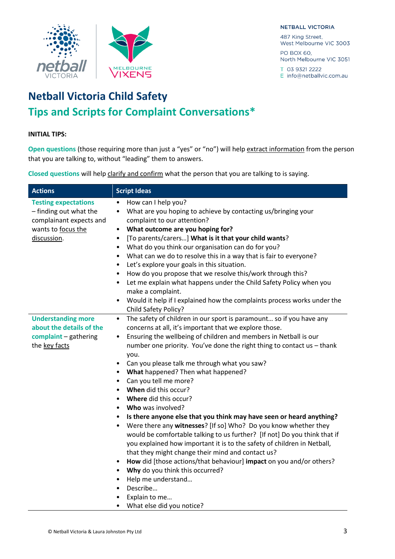

#### **NETBALL VICTORIA**

487 King Street, West Melbourne VIC 3003

PO BOX 60. North Melbourne VIC 3051

T 03 9321 2222 E info@netballvic.com.au

# **Netball Victoria Child Safety Tips and Scripts for Complaint Conversations\***

# **INITIAL TIPS:**

**Open questions** (those requiring more than just a "yes" or "no") will help extract information from the person that you are talking to, without "leading" them to answers.

**Closed questions** will help clarify and confirm what the person that you are talking to is saying.

| <b>Actions</b>                                                                                                        | <b>Script Ideas</b>                                                                                                                                                                                                                                                                                                                                                                                                                                                                                                                                                                                                                                                                                                                                                                                                                                                                                                                                                                                                                                                                                                                                                                                    |
|-----------------------------------------------------------------------------------------------------------------------|--------------------------------------------------------------------------------------------------------------------------------------------------------------------------------------------------------------------------------------------------------------------------------------------------------------------------------------------------------------------------------------------------------------------------------------------------------------------------------------------------------------------------------------------------------------------------------------------------------------------------------------------------------------------------------------------------------------------------------------------------------------------------------------------------------------------------------------------------------------------------------------------------------------------------------------------------------------------------------------------------------------------------------------------------------------------------------------------------------------------------------------------------------------------------------------------------------|
| <b>Testing expectations</b><br>- finding out what the<br>complainant expects and<br>wants to focus the<br>discussion. | How can I help you?<br>$\bullet$<br>What are you hoping to achieve by contacting us/bringing your<br>$\bullet$<br>complaint to our attention?<br>What outcome are you hoping for?<br>$\bullet$<br>[To parents/carers] What is it that your child wants?<br>$\bullet$<br>What do you think our organisation can do for you?<br>$\bullet$<br>What can we do to resolve this in a way that is fair to everyone?<br>$\bullet$<br>Let's explore your goals in this situation.<br>$\bullet$<br>How do you propose that we resolve this/work through this?<br>$\bullet$<br>Let me explain what happens under the Child Safety Policy when you<br>$\bullet$<br>make a complaint.<br>Would it help if I explained how the complaints process works under the<br>Child Safety Policy?                                                                                                                                                                                                                                                                                                                                                                                                                            |
| <b>Understanding more</b><br>about the details of the<br>complaint - gathering<br>the key facts                       | The safety of children in our sport is paramount so if you have any<br>$\bullet$<br>concerns at all, it's important that we explore those.<br>Ensuring the wellbeing of children and members in Netball is our<br>$\bullet$<br>number one priority. You've done the right thing to contact us - thank<br>you.<br>Can you please talk me through what you saw?<br>$\bullet$<br>What happened? Then what happened?<br>Can you tell me more?<br>$\bullet$<br>When did this occur?<br>$\bullet$<br><b>Where did this occur?</b><br>$\bullet$<br><b>Who</b> was involved?<br>$\bullet$<br>Is there anyone else that you think may have seen or heard anything?<br>$\bullet$<br>Were there any witnesses? [If so] Who? Do you know whether they<br>$\bullet$<br>would be comfortable talking to us further? [If not] Do you think that if<br>you explained how important it is to the safety of children in Netball,<br>that they might change their mind and contact us?<br>How did [those actions/that behaviour] impact on you and/or others?<br>$\bullet$<br>• Why do you think this occurred?<br>Help me understand<br>$\bullet$<br>Describe<br>$\bullet$<br>Explain to me<br>What else did you notice? |